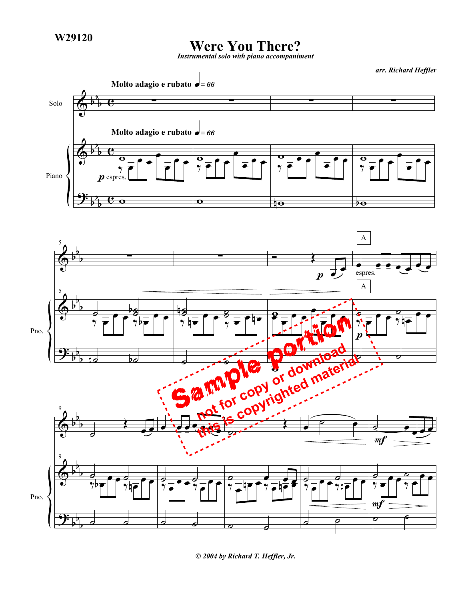## **Were You There?**

*Instrumental solo with piano accompaniment*

*arr. Richard Heffler*



*© 2004 by Richard T. Heffler, Jr.*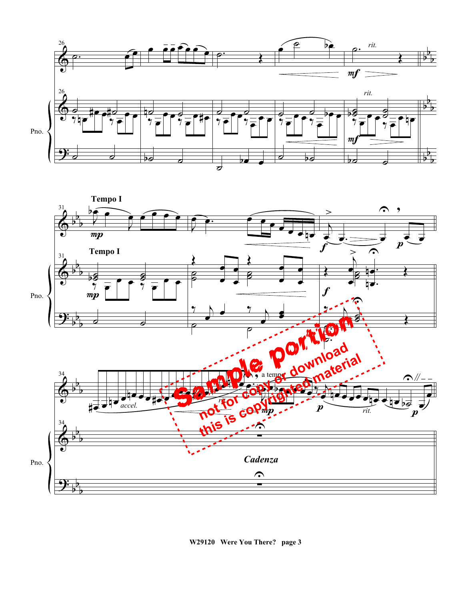



**W29120 Were You There? page 3**